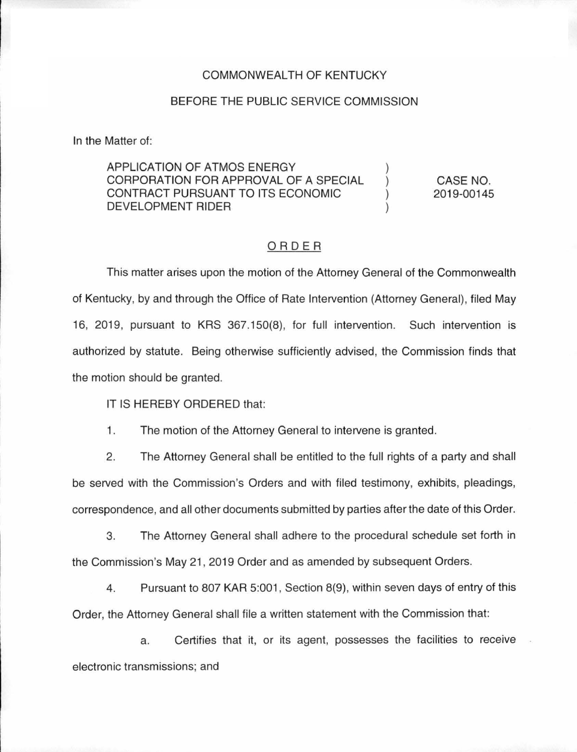#### COMMONWEALTH OF KENTUCKY

### BEFORE THE PUBLIC SERVICE COMMISSION

In the Matter of:

## APPLICATION OF ATMOS ENERGY CORPORATION FOR APPROVAL OF A SPECIAL CONTRACT PURSUANT TO ITS ECONOMIC DEVELOPMENT RIDER

CASE NO. 2019-00145

) ) ) )

## ORDER

This matter arises upon the motion of the Attorney General of the Commonwealth of Kentucky, by and through the Office of Rate Intervention (Attorney General), filed May 16, 2019, pursuant to KRS 367.150(8), for full intervention. Such intervention is authorized by statute. Being otherwise sufficiently advised, the Commission finds that the motion should be granted.

IT IS HEREBY ORDERED that:

1. The motion of the Attorney General to intervene is granted.

2. The Attorney General shall be entitled to the full rights of a party and shall be served with the Commission's Orders and with filed testimony, exhibits, pleadings, correspondence, and all other documents submitted by parties after the date of this Order.

3. The Attorney General shall adhere to the procedural schedule set forth in the Commission's May 21 , 2019 Order and as amended by subsequent Orders.

4. Pursuant to 807 KAR 5:001 , Section 8(9), within seven days of entry of this Order, the Attorney General shall file a written statement with the Commission that:

a. Certifies that it, or its agent, possesses the facilities to receive electronic transmissions; and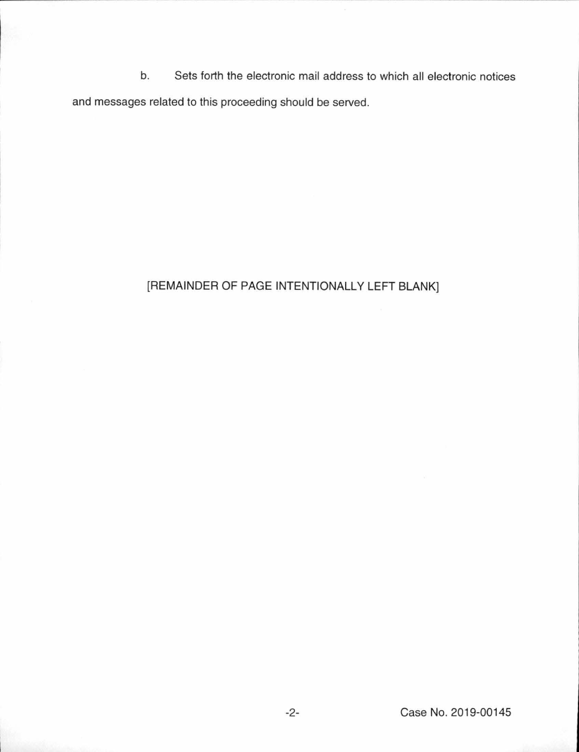b. Sets forth the electronic mail address to which all electronic notices and messages related to this proceeding should be served.

# [REMAINDER OF PAGE INTENTIONALLY LEFT BLANK]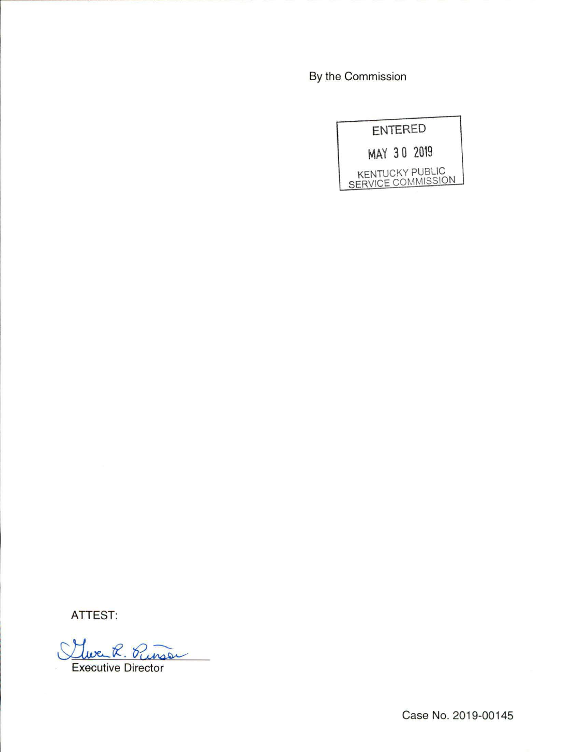By the Commission

| <b>ENTERED</b> |                                              |
|----------------|----------------------------------------------|
|                | MAY 30 2019                                  |
|                | <b>KENTUCKY PUBLIC</b><br>SERVICE COMMISSION |

ATTEST:

Cliverk. Purson Executive Director

Case No. 2019-00145